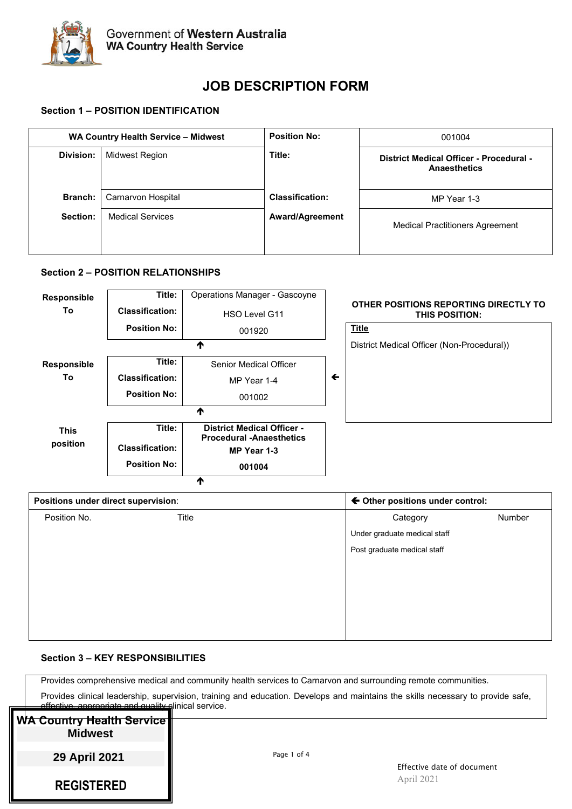

# **JOB DESCRIPTION FORM**

# **Section 1 – POSITION IDENTIFICATION**

| WA Country Health Service - Midwest |                                               | <b>Position No:</b>    | 001004                                                         |  |
|-------------------------------------|-----------------------------------------------|------------------------|----------------------------------------------------------------|--|
| Division:                           | Midwest Region                                | Title:                 | District Medical Officer - Procedural -<br><b>Anaesthetics</b> |  |
| <b>Branch:</b>                      | Carnarvon Hospital<br><b>Medical Services</b> | <b>Classification:</b> | MP Year 1-3                                                    |  |
| Section:                            |                                               | <b>Award/Agreement</b> | <b>Medical Practitioners Agreement</b>                         |  |

# **Section 2 – POSITION RELATIONSHIPS**



| Positions under direct supervision: |       | ← Other positions under control: |        |  |
|-------------------------------------|-------|----------------------------------|--------|--|
| Position No.                        | Title | Category                         | Number |  |
|                                     |       | Under graduate medical staff     |        |  |
|                                     |       | Post graduate medical staff      |        |  |
|                                     |       |                                  |        |  |
|                                     |       |                                  |        |  |
|                                     |       |                                  |        |  |
|                                     |       |                                  |        |  |
|                                     |       |                                  |        |  |

#### **Section 3 – KEY RESPONSIBILITIES**

Provides comprehensive medical and community health services to Carnarvon and surrounding remote communities.

Provides clinical leadership, supervision, training and education. Develops and maintains the skills necessary to provide safe, epropriate and quality clinical service.

# **WA Country Health Service Midwest**

**29 April 2021**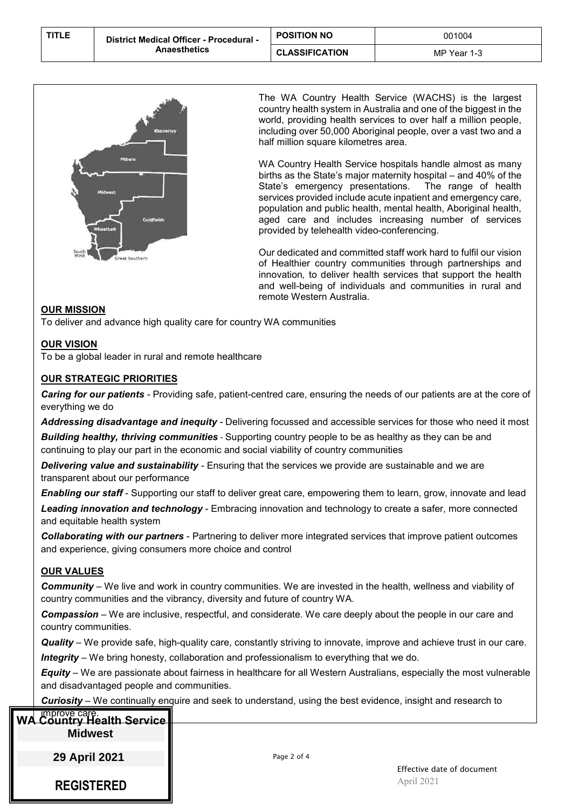| <b>TITLE</b> | <b>District Medical Officer - Procedural -</b><br>Anaesthetics | <b>POSITION NO</b>    | 001004      |
|--------------|----------------------------------------------------------------|-----------------------|-------------|
|              |                                                                | <b>CLASSIFICATION</b> | MP Year 1-3 |



The WA Country Health Service (WACHS) is the largest country health system in Australia and one of the biggest in the world, providing health services to over half a million people, including over 50,000 Aboriginal people, over a vast two and a half million square kilometres area.

WA Country Health Service hospitals handle almost as many births as the State's major maternity hospital – and 40% of the State's emergency presentations. The range of health State's emergency presentations. services provided include acute inpatient and emergency care, population and public health, mental health, Aboriginal health, aged care and includes increasing number of services provided by telehealth video-conferencing.

Our dedicated and committed staff work hard to fulfil our vision of Healthier country communities through partnerships and innovation*,* to deliver health services that support the health and well-being of individuals and communities in rural and remote Western Australia.

#### **OUR MISSION**

To deliver and advance high quality care for country WA communities

# **OUR VISION**

To be a global leader in rural and remote healthcare

#### **OUR STRATEGIC PRIORITIES**

*Caring for our patients -* Providing safe, patient-centred care, ensuring the needs of our patients are at the core of everything we do

*Addressing disadvantage and inequity -* Delivering focussed and accessible services for those who need it most **Building healthy, thriving communities** - Supporting country people to be as healthy as they can be and continuing to play our part in the economic and social viability of country communities

*Delivering value and sustainability -* Ensuring that the services we provide are sustainable and we are transparent about our performance

*Enabling our staff* - Supporting our staff to deliver great care, empowering them to learn, grow, innovate and lead

*Leading innovation and technology* - Embracing innovation and technology to create a safer, more connected and equitable health system

*Collaborating with our partners* - Partnering to deliver more integrated services that improve patient outcomes and experience, giving consumers more choice and control

#### **OUR VALUES**

*Community* – We live and work in country communities. We are invested in the health, wellness and viability of country communities and the vibrancy, diversity and future of country WA.

*Compassion* – We are inclusive, respectful, and considerate. We care deeply about the people in our care and country communities.

*Quality* – We provide safe, high-quality care, constantly striving to innovate, improve and achieve trust in our care. *Integrity* – We bring honesty, collaboration and professionalism to everything that we do.

*Equity* – We are passionate about fairness in healthcare for all Western Australians, especially the most vulnerable and disadvantaged people and communities.

*Curiosity* – We continually enquire and seek to understand, using the best evidence, insight and research to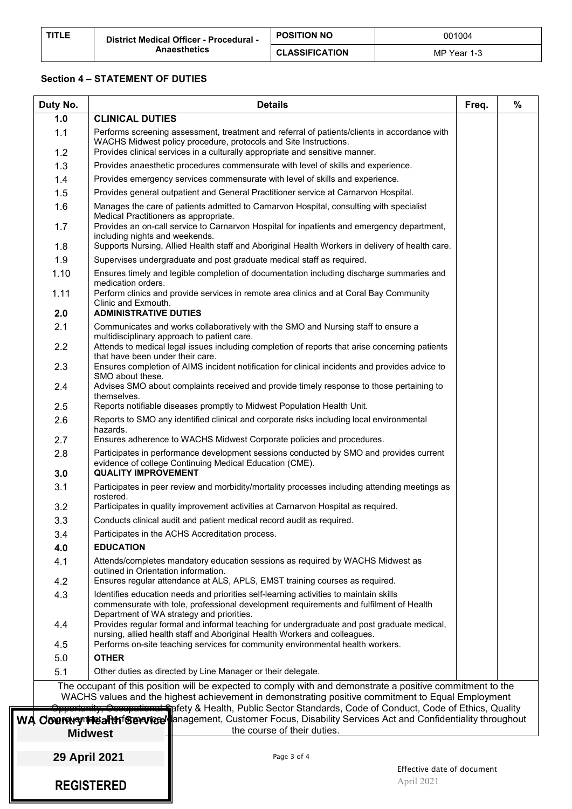| <b>TITLE</b> | <b>District Medical Officer - Procedural -</b><br>Anaesthetics | <b>POSITION NO</b>    | 001004      |  |
|--------------|----------------------------------------------------------------|-----------------------|-------------|--|
|              |                                                                | <b>CLASSIFICATION</b> | MP Year 1-3 |  |

#### **Section 4 – STATEMENT OF DUTIES**

| Duty No.    | <b>Details</b><br>Freq.                                                                                                                                                                                                                                                                                                                                                                                                                                                                            |  | $\%$ |
|-------------|----------------------------------------------------------------------------------------------------------------------------------------------------------------------------------------------------------------------------------------------------------------------------------------------------------------------------------------------------------------------------------------------------------------------------------------------------------------------------------------------------|--|------|
| 1.0         | <b>CLINICAL DUTIES</b>                                                                                                                                                                                                                                                                                                                                                                                                                                                                             |  |      |
| 1.1<br>1.2  | Performs screening assessment, treatment and referral of patients/clients in accordance with<br>WACHS Midwest policy procedure, protocols and Site Instructions.<br>Provides clinical services in a culturally appropriate and sensitive manner.                                                                                                                                                                                                                                                   |  |      |
| 1.3         | Provides anaesthetic procedures commensurate with level of skills and experience.                                                                                                                                                                                                                                                                                                                                                                                                                  |  |      |
| 1.4         | Provides emergency services commensurate with level of skills and experience.                                                                                                                                                                                                                                                                                                                                                                                                                      |  |      |
| 1.5         | Provides general outpatient and General Practitioner service at Carnarvon Hospital.                                                                                                                                                                                                                                                                                                                                                                                                                |  |      |
| 1.6         | Manages the care of patients admitted to Carnarvon Hospital, consulting with specialist                                                                                                                                                                                                                                                                                                                                                                                                            |  |      |
| 1.7         | Medical Practitioners as appropriate.<br>Provides an on-call service to Carnarvon Hospital for inpatients and emergency department,                                                                                                                                                                                                                                                                                                                                                                |  |      |
| 1.8         | including nights and weekends.<br>Supports Nursing, Allied Health staff and Aboriginal Health Workers in delivery of health care.                                                                                                                                                                                                                                                                                                                                                                  |  |      |
| 1.9         | Supervises undergraduate and post graduate medical staff as required.                                                                                                                                                                                                                                                                                                                                                                                                                              |  |      |
| 1.10        | Ensures timely and legible completion of documentation including discharge summaries and                                                                                                                                                                                                                                                                                                                                                                                                           |  |      |
|             | medication orders.                                                                                                                                                                                                                                                                                                                                                                                                                                                                                 |  |      |
| 1.11<br>2.0 | Perform clinics and provide services in remote area clinics and at Coral Bay Community<br>Clinic and Exmouth.<br><b>ADMINISTRATIVE DUTIES</b>                                                                                                                                                                                                                                                                                                                                                      |  |      |
| 2.1         | Communicates and works collaboratively with the SMO and Nursing staff to ensure a                                                                                                                                                                                                                                                                                                                                                                                                                  |  |      |
|             | multidisciplinary approach to patient care.                                                                                                                                                                                                                                                                                                                                                                                                                                                        |  |      |
| 2.2         | Attends to medical legal issues including completion of reports that arise concerning patients<br>that have been under their care.                                                                                                                                                                                                                                                                                                                                                                 |  |      |
| 2.3         | Ensures completion of AIMS incident notification for clinical incidents and provides advice to<br>SMO about these.                                                                                                                                                                                                                                                                                                                                                                                 |  |      |
| 2.4         | Advises SMO about complaints received and provide timely response to those pertaining to<br>themselves.                                                                                                                                                                                                                                                                                                                                                                                            |  |      |
| 2.5         | Reports notifiable diseases promptly to Midwest Population Health Unit.                                                                                                                                                                                                                                                                                                                                                                                                                            |  |      |
| 2.6         | Reports to SMO any identified clinical and corporate risks including local environmental<br>hazards.                                                                                                                                                                                                                                                                                                                                                                                               |  |      |
| 2.7         | Ensures adherence to WACHS Midwest Corporate policies and procedures.                                                                                                                                                                                                                                                                                                                                                                                                                              |  |      |
| 2.8<br>3.0  | Participates in performance development sessions conducted by SMO and provides current<br>evidence of college Continuing Medical Education (CME).<br><b>QUALITY IMPROVEMENT</b>                                                                                                                                                                                                                                                                                                                    |  |      |
| 3.1         | Participates in peer review and morbidity/mortality processes including attending meetings as<br>rostered.                                                                                                                                                                                                                                                                                                                                                                                         |  |      |
| 3.2         | Participates in quality improvement activities at Carnarvon Hospital as required.                                                                                                                                                                                                                                                                                                                                                                                                                  |  |      |
| 3.3         | Conducts clinical audit and patient medical record audit as required.                                                                                                                                                                                                                                                                                                                                                                                                                              |  |      |
| 3.4         | Participates in the ACHS Accreditation process.                                                                                                                                                                                                                                                                                                                                                                                                                                                    |  |      |
| 4.0         | <b>EDUCATION</b>                                                                                                                                                                                                                                                                                                                                                                                                                                                                                   |  |      |
| 4.1         | Attends/completes mandatory education sessions as required by WACHS Midwest as<br>outlined in Orientation information.                                                                                                                                                                                                                                                                                                                                                                             |  |      |
| 4.2         | Ensures regular attendance at ALS, APLS, EMST training courses as required.                                                                                                                                                                                                                                                                                                                                                                                                                        |  |      |
| 4.3         | Identifies education needs and priorities self-learning activities to maintain skills<br>commensurate with tole, professional development requirements and fulfilment of Health<br>Department of WA strategy and priorities.                                                                                                                                                                                                                                                                       |  |      |
| 4.4         | Provides regular formal and informal teaching for undergraduate and post graduate medical,<br>nursing, allied health staff and Aboriginal Health Workers and colleagues.                                                                                                                                                                                                                                                                                                                           |  |      |
| 4.5         | Performs on-site teaching services for community environmental health workers.                                                                                                                                                                                                                                                                                                                                                                                                                     |  |      |
| 5.0         | <b>OTHER</b>                                                                                                                                                                                                                                                                                                                                                                                                                                                                                       |  |      |
| 5.1         | Other duties as directed by Line Manager or their delegate.                                                                                                                                                                                                                                                                                                                                                                                                                                        |  |      |
|             | The occupant of this position will be expected to comply with and demonstrate a positive commitment to the<br>WACHS values and the highest achievement in demonstrating positive commitment to Equal Employment<br><del>, Cocupational S</del> pfety & Health, Public Sector Standards, Code of Conduct, Code of Ethics, Quality<br>WA CourrivenHearthfSeneviceNanagement, Customer Focus, Disability Services Act and Confidentiality throughout<br>the course of their duties.<br><b>Midwest</b> |  |      |
|             |                                                                                                                                                                                                                                                                                                                                                                                                                                                                                                    |  |      |
|             | 29 April 2021<br>Page 3 of 4<br>Effective date of document                                                                                                                                                                                                                                                                                                                                                                                                                                         |  |      |
|             | April 2021<br><b>REGISTERED</b>                                                                                                                                                                                                                                                                                                                                                                                                                                                                    |  |      |